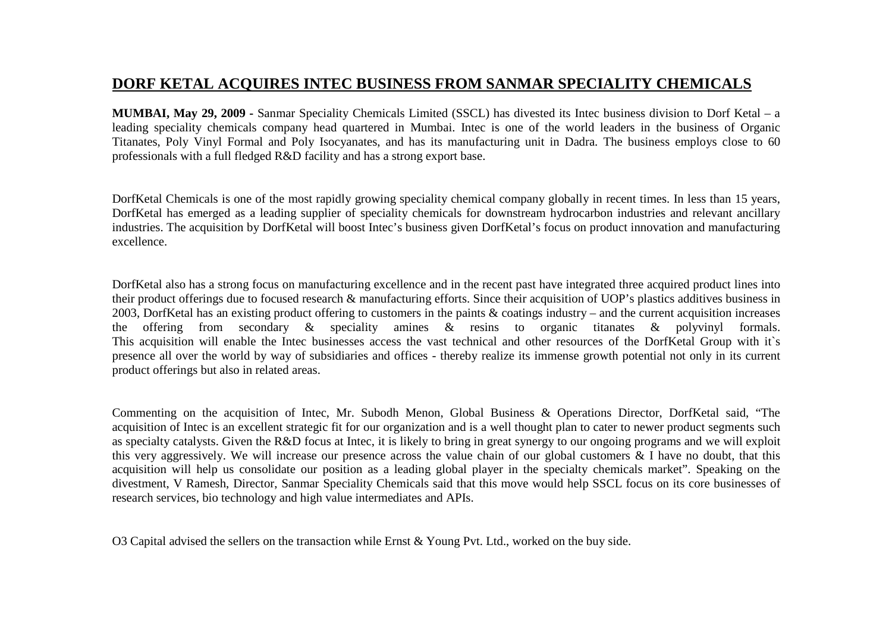## **DORF KETAL ACQUIRES INTEC BUSINESS FROM SANMAR SPECIALITY CHEMICALS**

**MUMBAI, May 29, 2009 -** Sanmar Speciality Chemicals Limited (SSCL) has divested its Intec business division to Dorf Ketal – a leading speciality chemicals company head quartered in Mumbai. Intec is one of the world leaders in the business of Organic Titanates, Poly Vinyl Formal and Poly Isocyanates, and has its manufacturing unit in Dadra. The business employs close to 60 professionals with a full fledged R&D facility and has a strong export base.

DorfKetal Chemicals is one of the most rapidly growing speciality chemical company globally in recent times. In less than 15 years, DorfKetal has emerged as a leading supplier of speciality chemicals for downstream hydrocarbon industries and relevant ancillary industries. The acquisition by DorfKetal will boost Intec's business given DorfKetal's focus on product innovation and manufacturing excellence.

DorfKetal also has a strong focus on manufacturing excellence and in the recent past have integrated three acquired product lines into their product offerings due to focused research & manufacturing efforts. Since their acquisition of UOP's plastics additives business in 2003, DorfKetal has an existing product offering to customers in the paints & coatings industry – and the current acquisition increases the offering from secondary & speciality amines & resins to organic titanates & polyvinyl formals. This acquisition will enable the Intec businesses access the vast technical and other resources of the DorfKetal Group with it`s presence all over the world by way of subsidiaries and offices - thereby realize its immense growth potential not only in its current product offerings but also in related areas.

Commenting on the acquisition of Intec, Mr. Subodh Menon, Global Business & Operations Director, DorfKetal said, "The acquisition of Intec is an excellent strategic fit for our organization and is a well thought plan to cater to newer product segments such as specialty catalysts. Given the R&D focus at Intec, it is likely to bring in great synergy to our ongoing programs and we will exploit this very aggressively. We will increase our presence across the value chain of our global customers & I have no doubt, that this acquisition will help us consolidate our position as a leading global player in the specialty chemicals market". Speaking on the divestment, V Ramesh, Director, Sanmar Speciality Chemicals said that this move would help SSCL focus on its core businesses of research services, bio technology and high value intermediates and APIs.

O3 Capital advised the sellers on the transaction while Ernst & Young Pvt. Ltd., worked on the buy side.